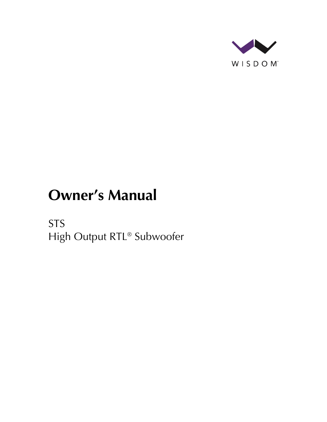

# **Owner's Manual**

STS High Output RTL® Subwoofer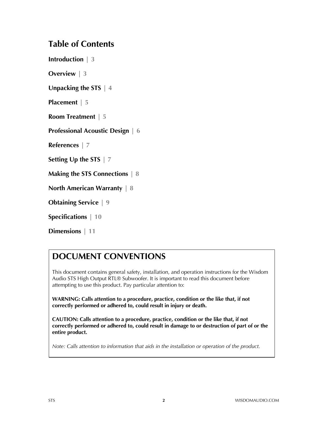## **Table of Contents**

**Introduction | 3**

**Overview | 3**

**Unpacking the STS | 4**

**Placement | 5**

**Room Treatment | 5**

**Professional Acoustic Design | 6**

**References | 7**

**Setting Up the STS | 7**

**Making the STS Connections | 8**

**North American Warranty | 8**

**Obtaining Service | 9**

**Specifications | 10**

**Dimensions | 11**

## **DOCUMENT CONVENTIONS**

This document contains general safety, installation, and operation instructions for the Wisdom Audio STS High Output RTL® Subwoofer. It is important to read this document before attempting to use this product. Pay particular attention to:

**WARNING: Calls attention to a procedure, practice, condition or the like that, if not correctly performed or adhered to, could result in injury or death.** 

**CAUTION: Calls attention to a procedure, practice, condition or the like that, if not correctly performed or adhered to, could result in damage to or destruction of part of or the entire product.** 

*Note: Calls attention to information that aids in the installation or operation of the product.*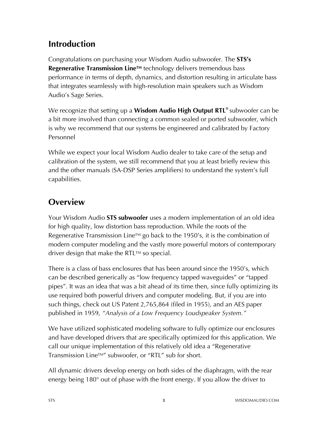# **Introduction**

Congratulations on purchasing your Wisdom Audio subwoofer. The **STS's Regenerative Transmission Line™** technology delivers tremendous bass performance in terms of depth, dynamics, and distortion resulting in articulate bass that integrates seamlessly with high-resolution main speakers such as Wisdom Audio's Sage Series.

We recognize that setting up a **Wisdom Audio High Output RTL®** subwoofer can be a bit more involved than connecting a common sealed or ported subwoofer, which is why we recommend that our systems be engineered and calibrated by Factory Personnel

While we expect your local Wisdom Audio dealer to take care of the setup and calibration of the system, we still recommend that you at least briefly review this and the other manuals (SA-DSP Series amplifiers) to understand the system's full capabilities.

# **Overview**

Your Wisdom Audio **STS subwoofer** uses a modern implementation of an old idea for high quality, low distortion bass reproduction. While the roots of the Regenerative Transmission Line<sup>TM</sup> go back to the 1950's, it is the combination of modern computer modeling and the vastly more powerful motors of contemporary driver design that make the RTL $TM$  so special.

There is a class of bass enclosures that has been around since the 1950's, which can be described generically as "low frequency tapped waveguides" or "tapped pipes". It was an idea that was a bit ahead of its time then, since fully optimizing its use required both powerful drivers and computer modeling. But, if you are into such things, check out US Patent 2,765,864 (filed in 1955), and an AES paper published in 1959, *"Analysis of a Low Frequency Loudspeaker System."*

We have utilized sophisticated modeling software to fully optimize our enclosures and have developed drivers that are specifically optimized for this application. We call our unique implementation of this relatively old idea a "Regenerative Transmission LineTM" subwoofer, or "RTL" sub for short.

All dynamic drivers develop energy on both sides of the diaphragm, with the rear energy being 180° out of phase with the front energy. If you allow the driver to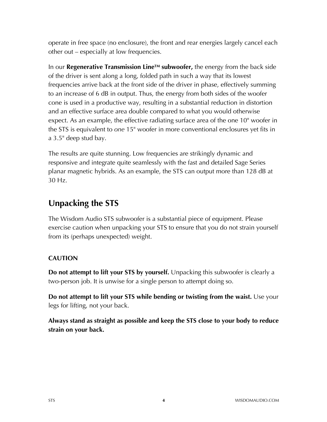operate in free space (no enclosure), the front and rear energies largely cancel each other out – especially at low frequencies.

In our **Regenerative Transmission Line™ subwoofer,** the energy from the back side of the driver is sent along a long, folded path in such a way that its lowest frequencies arrive back at the front side of the driver in phase, effectively summing to an increase of 6 dB in output. Thus, the energy from both sides of the woofer cone is used in a productive way, resulting in a substantial reduction in distortion and an effective surface area double compared to what you would otherwise expect. As an example, the effective radiating surface area of the one 10" woofer in the STS is equivalent to *one* 15" woofer in more conventional enclosures yet fits in a 3.5" deep stud bay.

The results are quite stunning. Low frequencies are strikingly dynamic and responsive and integrate quite seamlessly with the fast and detailed Sage Series planar magnetic hybrids. As an example, the STS can output more than 128 dB at 30 Hz.

# **Unpacking the STS**

The Wisdom Audio STS subwoofer is a substantial piece of equipment. Please exercise caution when unpacking your STS to ensure that you do not strain yourself from its (perhaps unexpected) weight.

#### **CAUTION**

**Do not attempt to lift your STS by yourself.** Unpacking this subwoofer is clearly a two-person job. It is unwise for a single person to attempt doing so.

**Do not attempt to lift your STS while bending or twisting from the waist.** Use your legs for lifting, not your back.

**Always stand as straight as possible and keep the STS close to your body to reduce strain on your back.**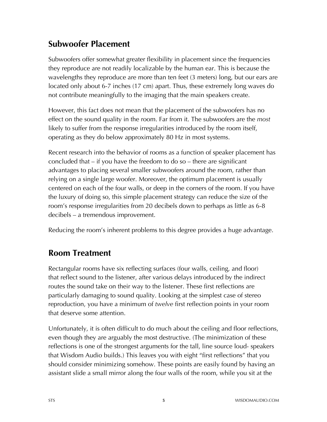# **Subwoofer Placement**

Subwoofers offer somewhat greater flexibility in placement since the frequencies they reproduce are not readily localizable by the human ear. This is because the wavelengths they reproduce are more than ten feet (3 meters) long, but our ears are located only about 6-7 inches (17 cm) apart. Thus, these extremely long waves do not contribute meaningfully to the imaging that the main speakers create.

However, this fact does not mean that the placement of the subwoofers has no effect on the sound quality in the room. Far from it. The subwoofers are the *most*  likely to suffer from the response irregularities introduced by the room itself, operating as they do below approximately 80 Hz in most systems.

Recent research into the behavior of rooms as a function of speaker placement has concluded that – if you have the freedom to do so – there are significant advantages to placing several smaller subwoofers around the room, rather than relying on a single large woofer. Moreover, the optimum placement is usually centered on each of the four walls, or deep in the corners of the room. If you have the luxury of doing so, this simple placement strategy can reduce the size of the room's response irregularities from 20 decibels down to perhaps as little as 6-8 decibels – a tremendous improvement.

Reducing the room's inherent problems to this degree provides a huge advantage.

# **Room Treatment**

Rectangular rooms have six reflecting surfaces (four walls, ceiling, and floor) that reflect sound to the listener, after various delays introduced by the indirect routes the sound take on their way to the listener. These first reflections are particularly damaging to sound quality. Looking at the simplest case of stereo reproduction, you have a minimum of *twelve* first reflection points in your room that deserve some attention.

Unfortunately, it is often difficult to do much about the ceiling and floor reflections, even though they are arguably the most destructive. (The minimization of these reflections is one of the strongest arguments for the tall, line source loud- speakers that Wisdom Audio builds.) This leaves you with eight "first reflections" that you should consider minimizing somehow. These points are easily found by having an assistant slide a small mirror along the four walls of the room, while you sit at the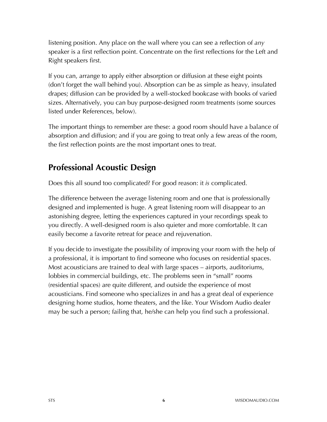listening position. Any place on the wall where you can see a reflection of *any*  speaker is a first reflection point. Concentrate on the first reflections for the Left and Right speakers first.

If you can, arrange to apply either absorption or diffusion at these eight points (don't forget the wall behind you). Absorption can be as simple as heavy, insulated drapes; diffusion can be provided by a well-stocked bookcase with books of varied sizes. Alternatively, you can buy purpose-designed room treatments (some sources listed under References, below).

The important things to remember are these: a good room should have a balance of absorption and diffusion; and if you are going to treat only a few areas of the room, the first reflection points are the most important ones to treat.

# **Professional Acoustic Design**

Does this all sound too complicated? For good reason: it *is* complicated.

The difference between the average listening room and one that is professionally designed and implemented is huge. A great listening room will disappear to an astonishing degree, letting the experiences captured in your recordings speak to you directly. A well-designed room is also quieter and more comfortable. It can easily become a favorite retreat for peace and rejuvenation.

If you decide to investigate the possibility of improving your room with the help of a professional, it is important to find someone who focuses on residential spaces. Most acousticians are trained to deal with large spaces – airports, auditoriums, lobbies in commercial buildings, etc. The problems seen in "small" rooms (residential spaces) are quite different, and outside the experience of most acousticians. Find someone who specializes in and has a great deal of experience designing home studios, home theaters, and the like. Your Wisdom Audio dealer may be such a person; failing that, he/she can help you find such a professional.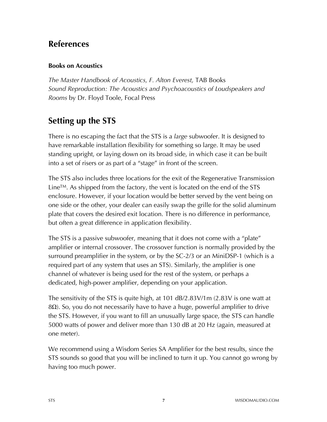## **References**

#### **Books on Acoustics**

*The Master Handbook of Acoustics, F. Alton Everest,* TAB Books *Sound Reproduction: The Acoustics and Psychoacoustics of Loudspeakers and Rooms* by Dr. Floyd Toole, Focal Press

# **Setting up the STS**

There is no escaping the fact that the STS is a *large* subwoofer. It is designed to have remarkable installation flexibility for something so large. It may be used standing upright, or laying down on its broad side, in which case it can be built into a set of risers or as part of a "stage" in front of the screen.

The STS also includes three locations for the exit of the Regenerative Transmission Line<sup>TM</sup>. As shipped from the factory, the vent is located on the end of the STS enclosure. However, if your location would be better served by the vent being on one side or the other, your dealer can easily swap the grille for the solid aluminum plate that covers the desired exit location. There is no difference in performance, but often a great difference in application flexibility.

The STS is a passive subwoofer, meaning that it does not come with a "plate" amplifier or internal crossover. The crossover function is normally provided by the surround preamplifier in the system, or by the SC-2/3 or an MiniDSP-1 (which is a required part of any system that uses an STS). Similarly, the amplifier is one channel of whatever is being used for the rest of the system, or perhaps a dedicated, high-power amplifier, depending on your application.

The sensitivity of the STS is quite high, at 101 dB/2.83V/1m (2.83V is one watt at 8Ω). So, you do not necessarily have to have a huge, powerful amplifier to drive the STS. However, if you want to fill an unusually large space, the STS can handle 5000 watts of power and deliver more than 130 dB at 20 Hz (again, measured at one meter).

We recommend using a Wisdom Series SA Amplifier for the best results, since the STS sounds so good that you will be inclined to turn it up. You cannot go wrong by having too much power.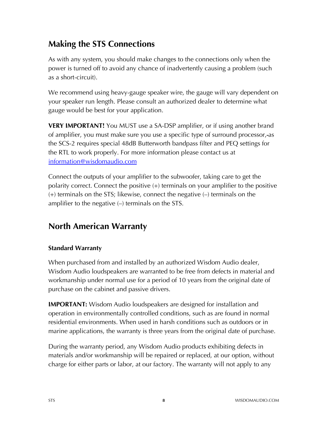# **Making the STS Connections**

As with any system, you should make changes to the connections only when the power is turned off to avoid any chance of inadvertently causing a problem (such as a short-circuit).

We recommend using heavy-gauge speaker wire, the gauge will vary dependent on your speaker run length. Please consult an authorized dealer to determine what gauge would be best for your application.

**VERY IMPORTANT!** You MUST use a SA-DSP amplifier, or if using another brand of amplifier, you must make sure you use a specific type of surround processor, as the SCS-2 requires special 48dB Butterworth bandpass filter and PEQ settings for the RTL to work properly. For more information please contact us at information@wisdomaudio.com

Connect the outputs of your amplifier to the subwoofer, taking care to get the polarity correct. Connect the positive (+) terminals on your amplifier to the positive (+) terminals on the STS; likewise, connect the negative (–) terminals on the amplifier to the negative (–) terminals on the STS.

# **North American Warranty**

#### **Standard Warranty**

When purchased from and installed by an authorized Wisdom Audio dealer, Wisdom Audio loudspeakers are warranted to be free from defects in material and workmanship under normal use for a period of 10 years from the original date of purchase on the cabinet and passive drivers.

**IMPORTANT:** Wisdom Audio loudspeakers are designed for installation and operation in environmentally controlled conditions, such as are found in normal residential environments. When used in harsh conditions such as outdoors or in marine applications, the warranty is three years from the original date of purchase.

During the warranty period, any Wisdom Audio products exhibiting defects in materials and/or workmanship will be repaired or replaced, at our option, without charge for either parts or labor, at our factory. The warranty will not apply to any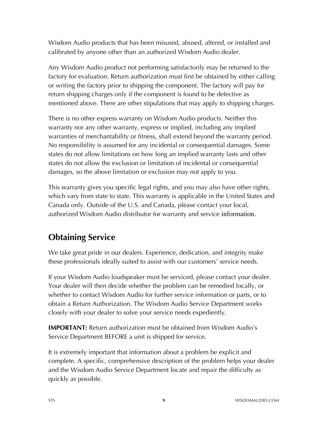Wisdom Audio products that has been misused, abused, altered, or installed and calibrated by anyone other than an authorized Wisdom Audio dealer.

Any Wisdom Audio product not performing satisfactorily may be returned to the factory for evaluation. Return authorization must first be obtained by either calling or writing the factory prior to shipping the component. The factory will pay for return shipping charges only if the component is found to be defective as mentioned above. There are other stipulations that may apply to shipping charges.

There is no other express warranty on Wisdom Audio products. Neither this warranty nor any other warranty, express or implied, including any implied warranties of merchantability or fitness, shall extend beyond the warranty period. No responsibility is assumed for any incidental or consequential damages. Some states do not allow limitations on how long an implied warranty lasts and other states do not allow the exclusion or limitation of incidental or consequential damages, so the above limitation or exclusion may not apply to you.

This warranty gives you specific legal rights, and you may also have other rights, which vary from state to state. This warranty is applicable in the United States and Canada only. Outside of the U.S. and Canada, please contact your local, authorized Wisdom Audio distributor for warranty and service information.

# **Obtaining Service**

We take great pride in our dealers. Experience, dedication, and integrity make these professionals ideally suited to assist with our customers' service needs.

If your Wisdom Audio loudspeaker must be serviced, please contact your dealer. Your dealer will then decide whether the problem can be remedied locally, or whether to contact Wisdom Audio for further service information or parts, or to obtain a Return Authorization. The Wisdom Audio Service Department works closely with your dealer to solve your service needs expediently.

**IMPORTANT:** Return authorization must be obtained from Wisdom Audio's Service Department BEFORE a unit is shipped for service.

It is extremely important that information about a problem be explicit and complete. A specific, comprehensive description of the problem helps your dealer and the Wisdom Audio Service Department locate and repair the difficulty as quickly as possible.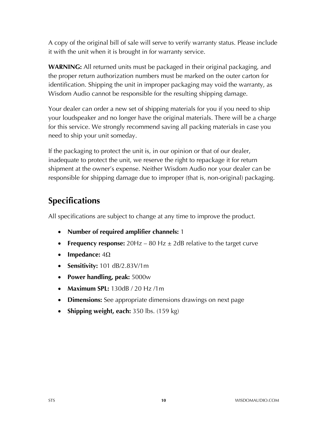A copy of the original bill of sale will serve to verify warranty status. Please include it with the unit when it is brought in for warranty service.

**WARNING:** All returned units must be packaged in their original packaging, and the proper return authorization numbers must be marked on the outer carton for identification. Shipping the unit in improper packaging may void the warranty, as Wisdom Audio cannot be responsible for the resulting shipping damage.

Your dealer can order a new set of shipping materials for you if you need to ship your loudspeaker and no longer have the original materials. There will be a charge for this service. We strongly recommend saving all packing materials in case you need to ship your unit someday.

If the packaging to protect the unit is, in our opinion or that of our dealer, inadequate to protect the unit, we reserve the right to repackage it for return shipment at the owner's expense. Neither Wisdom Audio nor your dealer can be responsible for shipping damage due to improper (that is, non-original) packaging.

# **Specifications**

All specifications are subject to change at any time to improve the product.

- **Number of required amplifier channels:** 1
- **Frequency response:**  $20\text{Hz} 80\text{Hz} \pm 2\text{dB}$  relative to the target curve
- **Impedance:** 4Ω
- **Sensitivity:** 101 dB/2.83V/1m
- **Power handling, peak:** 5000w
- **Maximum SPL:** 130dB / 20 Hz /1m
- **Dimensions:** See appropriate dimensions drawings on next page
- **Shipping weight, each:** 350 lbs. (159 kg)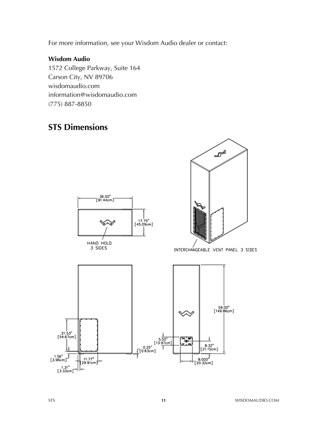For more information, see your Wisdom Audio dealer or contact:

#### **Wisdom Audio**

1572 College Parkway, Suite 164 Carson City, NV 89706 wisdomaudio.com information@wisdomaudio.com (775) 887-8850

### **STS Dimensions**